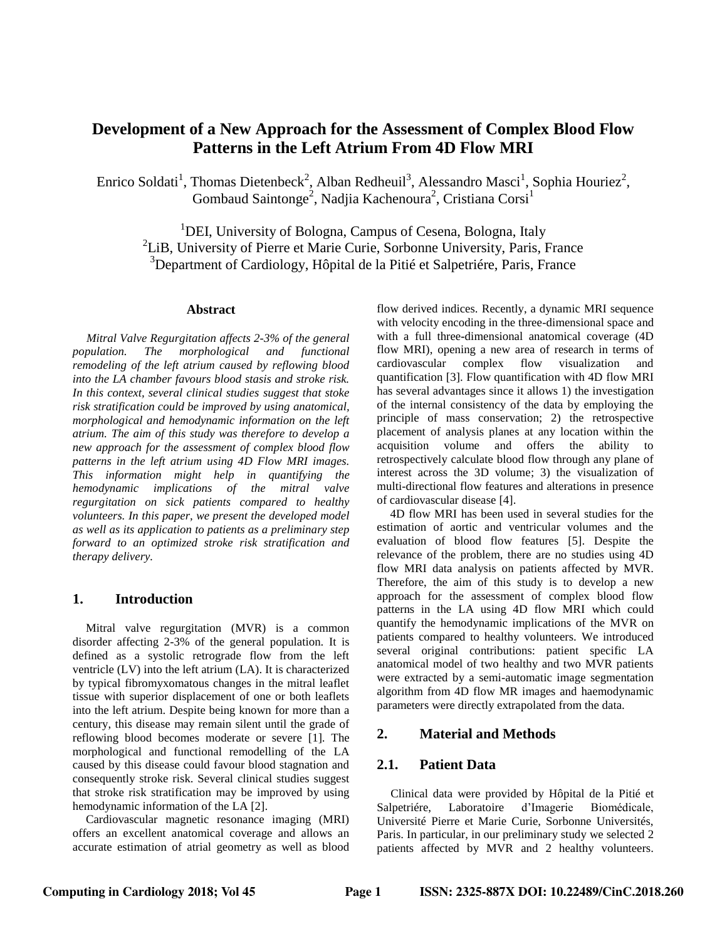# **Development of a New Approach for the Assessment of Complex Blood Flow Patterns in the Left Atrium From 4D Flow MRI**

Enrico Soldati<sup>1</sup>, Thomas Dietenbeck<sup>2</sup>, Alban Redheuil<sup>3</sup>, Alessandro Masci<sup>1</sup>, Sophia Houriez<sup>2</sup>, Gombaud Saintonge<sup>2</sup>, Nadjia Kachenoura<sup>2</sup>, Cristiana Corsi<sup>1</sup>

<sup>1</sup>DEI, University of Bologna, Campus of Cesena, Bologna, Italy 2 LiB, University of Pierre et Marie Curie, Sorbonne University, Paris, France <sup>3</sup>Department of Cardiology, Hôpital de la Pitié et Salpetriére, Paris, France

#### **Abstract**

*Mitral Valve Regurgitation affects 2-3% of the general population. The morphological and functional remodeling of the left atrium caused by reflowing blood into the LA chamber favours blood stasis and stroke risk. In this context, several clinical studies suggest that stoke risk stratification could be improved by using anatomical, morphological and hemodynamic information on the left atrium. The aim of this study was therefore to develop a new approach for the assessment of complex blood flow patterns in the left atrium using 4D Flow MRI images. This information might help in quantifying the hemodynamic implications of the mitral valve regurgitation on sick patients compared to healthy volunteers. In this paper, we present the developed model as well as its application to patients as a preliminary step forward to an optimized stroke risk stratification and therapy delivery.* 

### **1. Introduction**

Mitral valve regurgitation (MVR) is a common disorder affecting 2-3% of the general population. It is defined as a systolic retrograde flow from the left ventricle (LV) into the left atrium (LA). It is characterized by typical fibromyxomatous changes in the mitral leaflet tissue with superior displacement of one or both leaflets into the left atrium. Despite being known for more than a century, this disease may remain silent until the grade of reflowing blood becomes moderate or severe [1]. The morphological and functional remodelling of the LA caused by this disease could favour blood stagnation and consequently stroke risk. Several clinical studies suggest that stroke risk stratification may be improved by using hemodynamic information of the LA [2].

Cardiovascular magnetic resonance imaging (MRI) offers an excellent anatomical coverage and allows an accurate estimation of atrial geometry as well as blood

flow derived indices. Recently, a dynamic MRI sequence with velocity encoding in the three-dimensional space and with a full three**-**dimensional anatomical coverage (4D flow MRI), opening a new area of research in terms of cardiovascular complex flow visualization and quantification [3]. Flow quantification with 4D flow MRI has several advantages since it allows 1) the investigation of the internal consistency of the data by employing the principle of mass conservation; 2) the retrospective placement of analysis planes at any location within the acquisition volume and offers the ability to retrospectively calculate blood flow through any plane of interest across the 3D volume; 3) the visualization of multi-directional flow features and alterations in presence of cardiovascular disease [4].

4D flow MRI has been used in several studies for the estimation of aortic and ventricular volumes and the evaluation of blood flow features [5]. Despite the relevance of the problem, there are no studies using 4D flow MRI data analysis on patients affected by MVR. Therefore, the aim of this study is to develop a new approach for the assessment of complex blood flow patterns in the LA using 4D flow MRI which could quantify the hemodynamic implications of the MVR on patients compared to healthy volunteers. We introduced several original contributions: patient specific LA anatomical model of two healthy and two MVR patients were extracted by a semi-automatic image segmentation algorithm from 4D flow MR images and haemodynamic parameters were directly extrapolated from the data.

## **2. Material and Methods**

# **2.1. Patient Data**

Clinical data were provided by Hôpital de la Pitié et Salpetriére, Laboratoire d'Imagerie Biomédicale, Université Pierre et Marie Curie, Sorbonne Universités, Paris. In particular, in our preliminary study we selected 2 patients affected by MVR and 2 healthy volunteers.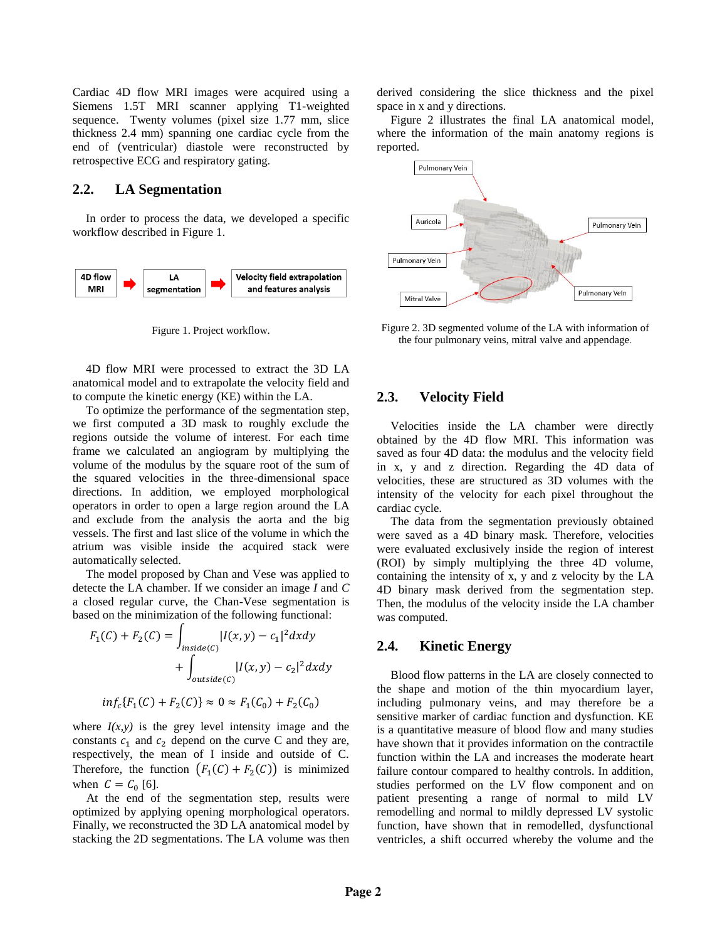Cardiac 4D flow MRI images were acquired using a Siemens 1.5T MRI scanner applying T1-weighted sequence. Twenty volumes (pixel size 1.77 mm, slice thickness 2.4 mm) spanning one cardiac cycle from the end of (ventricular) diastole were reconstructed by retrospective ECG and respiratory gating.

## **2.2. LA Segmentation**

In order to process the data, we developed a specific workflow described in Figure 1.



Figure 1. Project workflow.

4D flow MRI were processed to extract the 3D LA anatomical model and to extrapolate the velocity field and to compute the kinetic energy (KE) within the LA.

To optimize the performance of the segmentation step, we first computed a 3D mask to roughly exclude the regions outside the volume of interest. For each time frame we calculated an angiogram by multiplying the volume of the modulus by the square root of the sum of the squared velocities in the three-dimensional space directions. In addition, we employed morphological operators in order to open a large region around the LA and exclude from the analysis the aorta and the big vessels. The first and last slice of the volume in which the atrium was visible inside the acquired stack were automatically selected.

The model proposed by Chan and Vese was applied to detecte the LA chamber. If we consider an image *I* and *C* a closed regular curve, the Chan-Vese segmentation is based on the minimization of the following functional:

$$
F_1(C) + F_2(C) = \int_{inside(C)} |I(x, y) - c_1|^2 dxdy
$$
  
+ 
$$
\int_{outside(C)} |I(x, y) - c_2|^2 dxdy
$$
  
inf<sub>c</sub>{ $F_1(C) + F_2(C)$ }  $\approx 0 \approx F_1(C_0) + F_2(C_0)$ 

where  $I(x, y)$  is the grey level intensity image and the constants  $c_1$  and  $c_2$  depend on the curve C and they are, respectively, the mean of I inside and outside of C. Therefore, the function  $(F_1(C) + F_2(C))$  is minimized when  $C = C_0$  [6].

At the end of the segmentation step, results were optimized by applying opening morphological operators. Finally, we reconstructed the 3D LA anatomical model by stacking the 2D segmentations. The LA volume was then derived considering the slice thickness and the pixel space in x and y directions.

Figure 2 illustrates the final LA anatomical model, where the information of the main anatomy regions is reported.



Figure 2. 3D segmented volume of the LA with information of the four pulmonary veins, mitral valve and appendage*.*

#### **2.3. Velocity Field**

Velocities inside the LA chamber were directly obtained by the 4D flow MRI. This information was saved as four 4D data: the modulus and the velocity field in x, y and z direction. Regarding the 4D data of velocities, these are structured as 3D volumes with the intensity of the velocity for each pixel throughout the cardiac cycle.

The data from the segmentation previously obtained were saved as a 4D binary mask. Therefore, velocities were evaluated exclusively inside the region of interest (ROI) by simply multiplying the three 4D volume, containing the intensity of x, y and z velocity by the LA 4D binary mask derived from the segmentation step. Then, the modulus of the velocity inside the LA chamber was computed.

## **2.4. Kinetic Energy**

Blood flow patterns in the LA are closely connected to the shape and motion of the thin myocardium layer, including pulmonary veins, and may therefore be a sensitive marker of cardiac function and dysfunction. KE is a quantitative measure of blood flow and many studies have shown that it provides information on the contractile function within the LA and increases the moderate heart failure contour compared to healthy controls. In addition, studies performed on the LV flow component and on patient presenting a range of normal to mild LV remodelling and normal to mildly depressed LV systolic function, have shown that in remodelled, dysfunctional ventricles, a shift occurred whereby the volume and the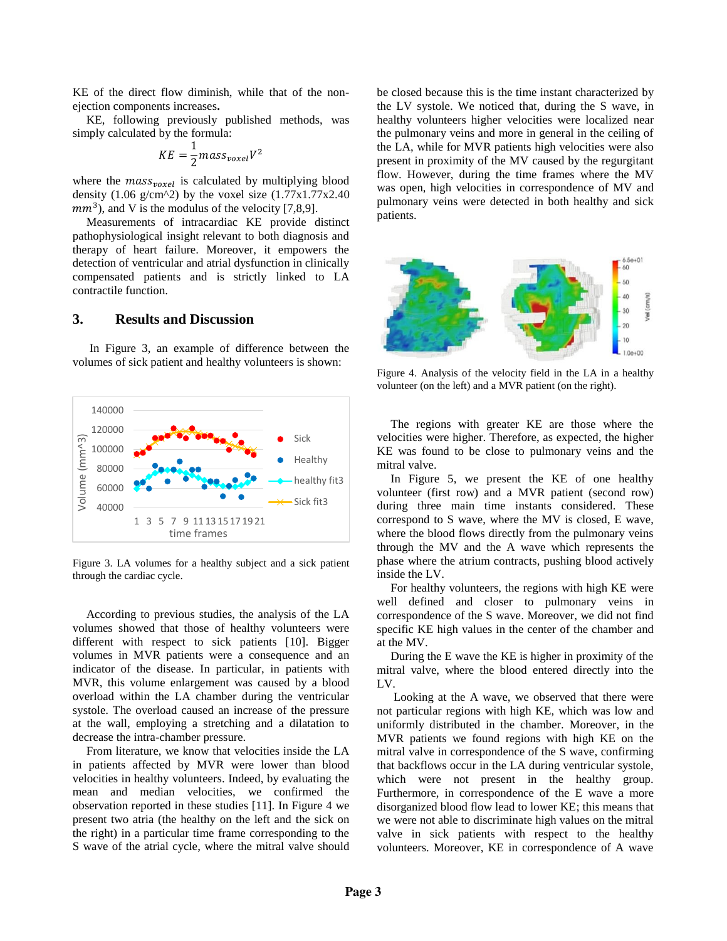KE of the direct flow diminish, while that of the nonejection components increases**.**

KE, following previously published methods, was simply calculated by the formula:

$$
KE = \frac{1}{2} mass_{voxel} V^2
$$

where the  $mass_{voxel}$  is calculated by multiplying blood density (1.06 g/cm^2) by the voxel size  $(1.77 \times 1.77 \times 2.40)$  $mm<sup>3</sup>$ ), and V is the modulus of the velocity [7,8,9].

Measurements of intracardiac KE provide distinct pathophysiological insight relevant to both diagnosis and therapy of heart failure. Moreover, it empowers the detection of ventricular and atrial dysfunction in clinically compensated patients and is strictly linked to LA contractile function.

#### **3. Results and Discussion**

In Figure 3, an example of difference between the volumes of sick patient and healthy volunteers is shown:



Figure 3. LA volumes for a healthy subject and a sick patient through the cardiac cycle.

According to previous studies, the analysis of the LA volumes showed that those of healthy volunteers were different with respect to sick patients [10]. Bigger volumes in MVR patients were a consequence and an indicator of the disease. In particular, in patients with MVR, this volume enlargement was caused by a blood overload within the LA chamber during the ventricular systole. The overload caused an increase of the pressure at the wall, employing a stretching and a dilatation to decrease the intra-chamber pressure.

From literature, we know that velocities inside the LA in patients affected by MVR were lower than blood velocities in healthy volunteers. Indeed, by evaluating the mean and median velocities, we confirmed the observation reported in these studies [11]. In Figure 4 we present two atria (the healthy on the left and the sick on the right) in a particular time frame corresponding to the S wave of the atrial cycle, where the mitral valve should

be closed because this is the time instant characterized by the LV systole. We noticed that, during the S wave, in healthy volunteers higher velocities were localized near the pulmonary veins and more in general in the ceiling of the LA, while for MVR patients high velocities were also present in proximity of the MV caused by the regurgitant flow. However, during the time frames where the MV was open, high velocities in correspondence of MV and pulmonary veins were detected in both healthy and sick patients.



Figure 4. Analysis of the velocity field in the LA in a healthy volunteer (on the left) and a MVR patient (on the right).

The regions with greater KE are those where the velocities were higher. Therefore, as expected, the higher KE was found to be close to pulmonary veins and the mitral valve.

In Figure 5, we present the KE of one healthy volunteer (first row) and a MVR patient (second row) during three main time instants considered. These correspond to S wave, where the MV is closed, E wave, where the blood flows directly from the pulmonary veins through the MV and the A wave which represents the phase where the atrium contracts, pushing blood actively inside the LV.

For healthy volunteers, the regions with high KE were well defined and closer to pulmonary veins in correspondence of the S wave. Moreover, we did not find specific KE high values in the center of the chamber and at the MV.

During the E wave the KE is higher in proximity of the mitral valve, where the blood entered directly into the LV.

Looking at the A wave, we observed that there were not particular regions with high KE, which was low and uniformly distributed in the chamber. Moreover, in the MVR patients we found regions with high KE on the mitral valve in correspondence of the S wave, confirming that backflows occur in the LA during ventricular systole, which were not present in the healthy group. Furthermore, in correspondence of the E wave a more disorganized blood flow lead to lower KE; this means that we were not able to discriminate high values on the mitral valve in sick patients with respect to the healthy volunteers. Moreover, KE in correspondence of A wave